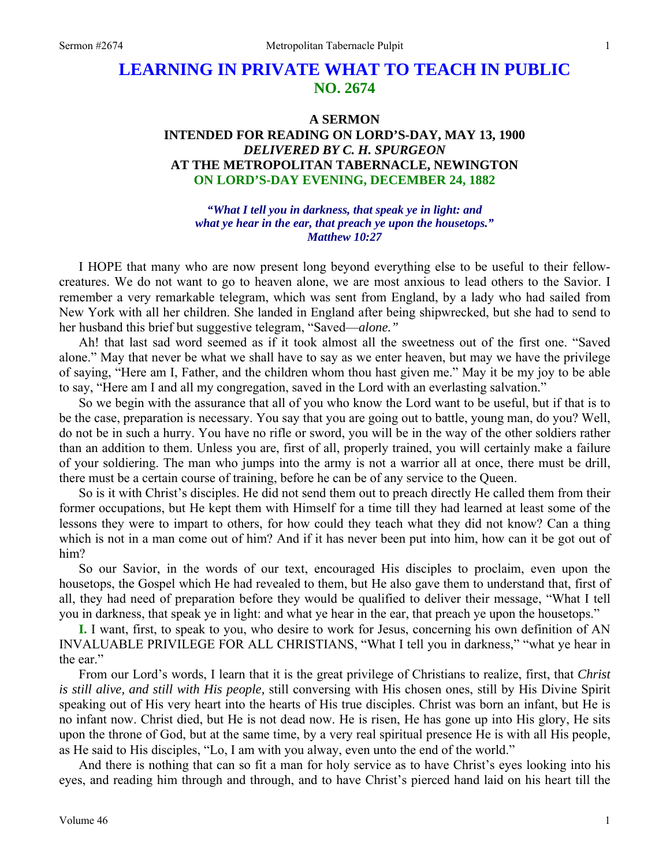# **LEARNING IN PRIVATE WHAT TO TEACH IN PUBLIC NO. 2674**

## **A SERMON INTENDED FOR READING ON LORD'S-DAY, MAY 13, 1900**  *DELIVERED BY C. H. SPURGEON*  **AT THE METROPOLITAN TABERNACLE, NEWINGTON ON LORD'S-DAY EVENING, DECEMBER 24, 1882**

*"What I tell you in darkness, that speak ye in light: and what ye hear in the ear, that preach ye upon the housetops." Matthew 10:27* 

I HOPE that many who are now present long beyond everything else to be useful to their fellowcreatures. We do not want to go to heaven alone, we are most anxious to lead others to the Savior. I remember a very remarkable telegram, which was sent from England, by a lady who had sailed from New York with all her children. She landed in England after being shipwrecked, but she had to send to her husband this brief but suggestive telegram, "Saved—*alone."*

Ah! that last sad word seemed as if it took almost all the sweetness out of the first one. "Saved alone." May that never be what we shall have to say as we enter heaven, but may we have the privilege of saying, "Here am I, Father, and the children whom thou hast given me." May it be my joy to be able to say, "Here am I and all my congregation, saved in the Lord with an everlasting salvation."

So we begin with the assurance that all of you who know the Lord want to be useful, but if that is to be the case, preparation is necessary. You say that you are going out to battle, young man, do you? Well, do not be in such a hurry. You have no rifle or sword, you will be in the way of the other soldiers rather than an addition to them. Unless you are, first of all, properly trained, you will certainly make a failure of your soldiering. The man who jumps into the army is not a warrior all at once, there must be drill, there must be a certain course of training, before he can be of any service to the Queen.

So is it with Christ's disciples. He did not send them out to preach directly He called them from their former occupations, but He kept them with Himself for a time till they had learned at least some of the lessons they were to impart to others, for how could they teach what they did not know? Can a thing which is not in a man come out of him? And if it has never been put into him, how can it be got out of him?

So our Savior, in the words of our text, encouraged His disciples to proclaim, even upon the housetops, the Gospel which He had revealed to them, but He also gave them to understand that, first of all, they had need of preparation before they would be qualified to deliver their message, "What I tell you in darkness, that speak ye in light: and what ye hear in the ear, that preach ye upon the housetops."

**I.** I want, first, to speak to you, who desire to work for Jesus, concerning his own definition of AN INVALUABLE PRIVILEGE FOR ALL CHRISTIANS, "What I tell you in darkness," "what ye hear in the ear."

From our Lord's words, I learn that it is the great privilege of Christians to realize, first, that *Christ is still alive, and still with His people,* still conversing with His chosen ones, still by His Divine Spirit speaking out of His very heart into the hearts of His true disciples. Christ was born an infant, but He is no infant now. Christ died, but He is not dead now. He is risen, He has gone up into His glory, He sits upon the throne of God, but at the same time, by a very real spiritual presence He is with all His people, as He said to His disciples, "Lo, I am with you alway, even unto the end of the world."

And there is nothing that can so fit a man for holy service as to have Christ's eyes looking into his eyes, and reading him through and through, and to have Christ's pierced hand laid on his heart till the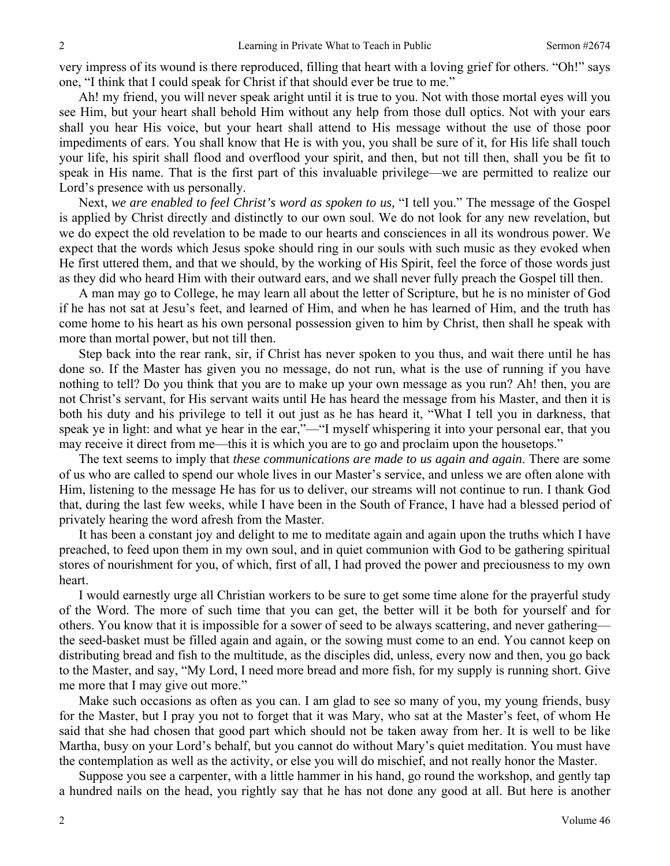very impress of its wound is there reproduced, filling that heart with a loving grief for others. "Oh!" says one, "I think that I could speak for Christ if that should ever be true to me."

Ah! my friend, you will never speak aright until it is true to you. Not with those mortal eyes will you see Him, but your heart shall behold Him without any help from those dull optics. Not with your ears shall you hear His voice, but your heart shall attend to His message without the use of those poor impediments of ears. You shall know that He is with you, you shall be sure of it, for His life shall touch your life, his spirit shall flood and overflood your spirit, and then, but not till then, shall you be fit to speak in His name. That is the first part of this invaluable privilege—we are permitted to realize our Lord's presence with us personally.

Next, *we are enabled to feel Christ's word as spoken to us,* "I tell you." The message of the Gospel is applied by Christ directly and distinctly to our own soul. We do not look for any new revelation, but we do expect the old revelation to be made to our hearts and consciences in all its wondrous power. We expect that the words which Jesus spoke should ring in our souls with such music as they evoked when He first uttered them, and that we should, by the working of His Spirit, feel the force of those words just as they did who heard Him with their outward ears, and we shall never fully preach the Gospel till then.

A man may go to College, he may learn all about the letter of Scripture, but he is no minister of God if he has not sat at Jesu's feet, and learned of Him, and when he has learned of Him, and the truth has come home to his heart as his own personal possession given to him by Christ, then shall he speak with more than mortal power, but not till then.

Step back into the rear rank, sir, if Christ has never spoken to you thus, and wait there until he has done so. If the Master has given you no message, do not run, what is the use of running if you have nothing to tell? Do you think that you are to make up your own message as you run? Ah! then, you are not Christ's servant, for His servant waits until He has heard the message from his Master, and then it is both his duty and his privilege to tell it out just as he has heard it, "What I tell you in darkness, that speak ye in light: and what ye hear in the ear,"—"I myself whispering it into your personal ear, that you may receive it direct from me—this it is which you are to go and proclaim upon the housetops."

The text seems to imply that *these communications are made to us again and again*. There are some of us who are called to spend our whole lives in our Master's service, and unless we are often alone with Him, listening to the message He has for us to deliver, our streams will not continue to run. I thank God that, during the last few weeks, while I have been in the South of France, I have had a blessed period of privately hearing the word afresh from the Master.

It has been a constant joy and delight to me to meditate again and again upon the truths which I have preached, to feed upon them in my own soul, and in quiet communion with God to be gathering spiritual stores of nourishment for you, of which, first of all, I had proved the power and preciousness to my own heart.

I would earnestly urge all Christian workers to be sure to get some time alone for the prayerful study of the Word. The more of such time that you can get, the better will it be both for yourself and for others. You know that it is impossible for a sower of seed to be always scattering, and never gathering the seed-basket must be filled again and again, or the sowing must come to an end. You cannot keep on distributing bread and fish to the multitude, as the disciples did, unless, every now and then, you go back to the Master, and say, "My Lord, I need more bread and more fish, for my supply is running short. Give me more that I may give out more."

Make such occasions as often as you can. I am glad to see so many of you, my young friends, busy for the Master, but I pray you not to forget that it was Mary, who sat at the Master's feet, of whom He said that she had chosen that good part which should not be taken away from her. It is well to be like Martha, busy on your Lord's behalf, but you cannot do without Mary's quiet meditation. You must have the contemplation as well as the activity, or else you will do mischief, and not really honor the Master.

Suppose you see a carpenter, with a little hammer in his hand, go round the workshop, and gently tap a hundred nails on the head, you rightly say that he has not done any good at all. But here is another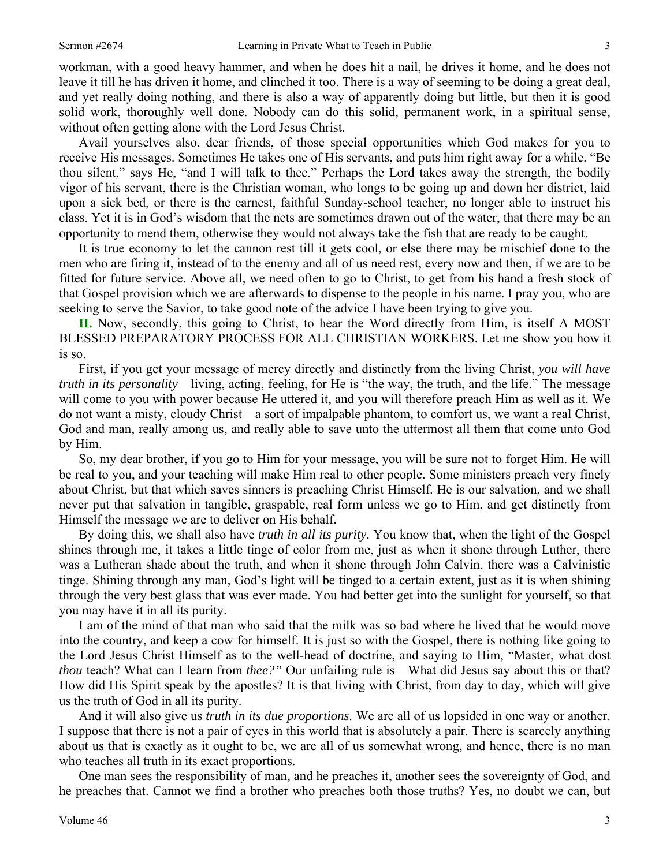workman, with a good heavy hammer, and when he does hit a nail, he drives it home, and he does not leave it till he has driven it home, and clinched it too. There is a way of seeming to be doing a great deal, and yet really doing nothing, and there is also a way of apparently doing but little, but then it is good solid work, thoroughly well done. Nobody can do this solid, permanent work, in a spiritual sense, without often getting alone with the Lord Jesus Christ.

Avail yourselves also, dear friends, of those special opportunities which God makes for you to receive His messages. Sometimes He takes one of His servants, and puts him right away for a while. "Be thou silent," says He, "and I will talk to thee." Perhaps the Lord takes away the strength, the bodily vigor of his servant, there is the Christian woman, who longs to be going up and down her district, laid upon a sick bed, or there is the earnest, faithful Sunday-school teacher, no longer able to instruct his class. Yet it is in God's wisdom that the nets are sometimes drawn out of the water, that there may be an opportunity to mend them, otherwise they would not always take the fish that are ready to be caught.

It is true economy to let the cannon rest till it gets cool, or else there may be mischief done to the men who are firing it, instead of to the enemy and all of us need rest, every now and then, if we are to be fitted for future service. Above all, we need often to go to Christ, to get from his hand a fresh stock of that Gospel provision which we are afterwards to dispense to the people in his name. I pray you, who are seeking to serve the Savior, to take good note of the advice I have been trying to give you.

**II.** Now, secondly, this going to Christ, to hear the Word directly from Him, is itself A MOST BLESSED PREPARATORY PROCESS FOR ALL CHRISTIAN WORKERS. Let me show you how it is so.

First, if you get your message of mercy directly and distinctly from the living Christ, *you will have truth in its personality*—living, acting, feeling, for He is "the way, the truth, and the life." The message will come to you with power because He uttered it, and you will therefore preach Him as well as it. We do not want a misty, cloudy Christ—a sort of impalpable phantom, to comfort us, we want a real Christ, God and man, really among us, and really able to save unto the uttermost all them that come unto God by Him.

So, my dear brother, if you go to Him for your message, you will be sure not to forget Him. He will be real to you, and your teaching will make Him real to other people. Some ministers preach very finely about Christ, but that which saves sinners is preaching Christ Himself. He is our salvation, and we shall never put that salvation in tangible, graspable, real form unless we go to Him, and get distinctly from Himself the message we are to deliver on His behalf.

By doing this, we shall also have *truth in all its purity*. You know that, when the light of the Gospel shines through me, it takes a little tinge of color from me, just as when it shone through Luther, there was a Lutheran shade about the truth, and when it shone through John Calvin, there was a Calvinistic tinge. Shining through any man, God's light will be tinged to a certain extent, just as it is when shining through the very best glass that was ever made. You had better get into the sunlight for yourself, so that you may have it in all its purity.

I am of the mind of that man who said that the milk was so bad where he lived that he would move into the country, and keep a cow for himself. It is just so with the Gospel, there is nothing like going to the Lord Jesus Christ Himself as to the well-head of doctrine, and saying to Him, "Master, what dost *thou* teach? What can I learn from *thee?"* Our unfailing rule is—What did Jesus say about this or that? How did His Spirit speak by the apostles? It is that living with Christ, from day to day, which will give us the truth of God in all its purity.

And it will also give us *truth in its due proportions*. We are all of us lopsided in one way or another. I suppose that there is not a pair of eyes in this world that is absolutely a pair. There is scarcely anything about us that is exactly as it ought to be, we are all of us somewhat wrong, and hence, there is no man who teaches all truth in its exact proportions.

One man sees the responsibility of man, and he preaches it, another sees the sovereignty of God, and he preaches that. Cannot we find a brother who preaches both those truths? Yes, no doubt we can, but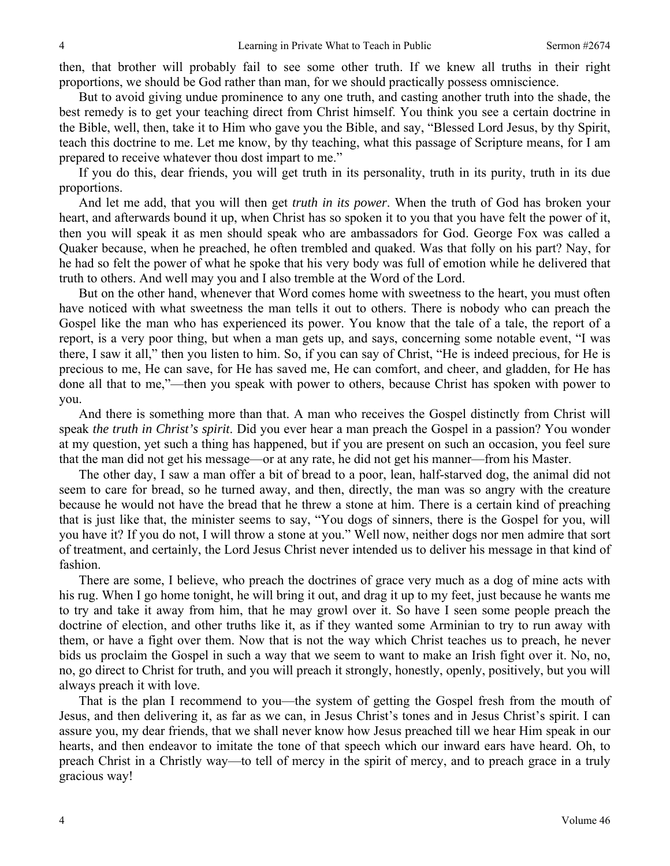then, that brother will probably fail to see some other truth. If we knew all truths in their right proportions, we should be God rather than man, for we should practically possess omniscience.

But to avoid giving undue prominence to any one truth, and casting another truth into the shade, the best remedy is to get your teaching direct from Christ himself. You think you see a certain doctrine in the Bible, well, then, take it to Him who gave you the Bible, and say, "Blessed Lord Jesus, by thy Spirit, teach this doctrine to me. Let me know, by thy teaching, what this passage of Scripture means, for I am prepared to receive whatever thou dost impart to me."

If you do this, dear friends, you will get truth in its personality, truth in its purity, truth in its due proportions.

And let me add, that you will then get *truth in its power*. When the truth of God has broken your heart, and afterwards bound it up, when Christ has so spoken it to you that you have felt the power of it, then you will speak it as men should speak who are ambassadors for God. George Fox was called a Quaker because, when he preached, he often trembled and quaked. Was that folly on his part? Nay, for he had so felt the power of what he spoke that his very body was full of emotion while he delivered that truth to others. And well may you and I also tremble at the Word of the Lord.

But on the other hand, whenever that Word comes home with sweetness to the heart, you must often have noticed with what sweetness the man tells it out to others. There is nobody who can preach the Gospel like the man who has experienced its power. You know that the tale of a tale, the report of a report, is a very poor thing, but when a man gets up, and says, concerning some notable event, "I was there, I saw it all," then you listen to him. So, if you can say of Christ, "He is indeed precious, for He is precious to me, He can save, for He has saved me, He can comfort, and cheer, and gladden, for He has done all that to me,"—then you speak with power to others, because Christ has spoken with power to you.

And there is something more than that. A man who receives the Gospel distinctly from Christ will speak *the truth in Christ's spirit*. Did you ever hear a man preach the Gospel in a passion? You wonder at my question, yet such a thing has happened, but if you are present on such an occasion, you feel sure that the man did not get his message—or at any rate, he did not get his manner—from his Master.

The other day, I saw a man offer a bit of bread to a poor, lean, half-starved dog, the animal did not seem to care for bread, so he turned away, and then, directly, the man was so angry with the creature because he would not have the bread that he threw a stone at him. There is a certain kind of preaching that is just like that, the minister seems to say, "You dogs of sinners, there is the Gospel for you, will you have it? If you do not, I will throw a stone at you." Well now, neither dogs nor men admire that sort of treatment, and certainly, the Lord Jesus Christ never intended us to deliver his message in that kind of fashion.

There are some, I believe, who preach the doctrines of grace very much as a dog of mine acts with his rug. When I go home tonight, he will bring it out, and drag it up to my feet, just because he wants me to try and take it away from him, that he may growl over it. So have I seen some people preach the doctrine of election, and other truths like it, as if they wanted some Arminian to try to run away with them, or have a fight over them. Now that is not the way which Christ teaches us to preach, he never bids us proclaim the Gospel in such a way that we seem to want to make an Irish fight over it. No, no, no, go direct to Christ for truth, and you will preach it strongly, honestly, openly, positively, but you will always preach it with love.

That is the plan I recommend to you—the system of getting the Gospel fresh from the mouth of Jesus, and then delivering it, as far as we can, in Jesus Christ's tones and in Jesus Christ's spirit. I can assure you, my dear friends, that we shall never know how Jesus preached till we hear Him speak in our hearts, and then endeavor to imitate the tone of that speech which our inward ears have heard. Oh, to preach Christ in a Christly way—to tell of mercy in the spirit of mercy, and to preach grace in a truly gracious way!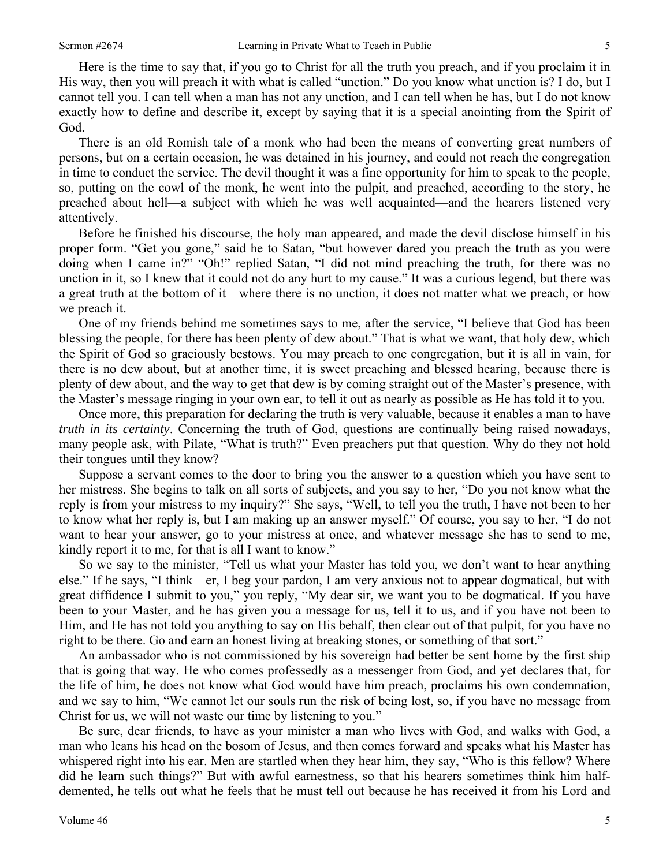Here is the time to say that, if you go to Christ for all the truth you preach, and if you proclaim it in His way, then you will preach it with what is called "unction." Do you know what unction is? I do, but I cannot tell you. I can tell when a man has not any unction, and I can tell when he has, but I do not know exactly how to define and describe it, except by saying that it is a special anointing from the Spirit of God.

There is an old Romish tale of a monk who had been the means of converting great numbers of persons, but on a certain occasion, he was detained in his journey, and could not reach the congregation in time to conduct the service. The devil thought it was a fine opportunity for him to speak to the people, so, putting on the cowl of the monk, he went into the pulpit, and preached, according to the story, he preached about hell—a subject with which he was well acquainted—and the hearers listened very attentively.

Before he finished his discourse, the holy man appeared, and made the devil disclose himself in his proper form. "Get you gone," said he to Satan, "but however dared you preach the truth as you were doing when I came in?" "Oh!" replied Satan, "I did not mind preaching the truth, for there was no unction in it, so I knew that it could not do any hurt to my cause." It was a curious legend, but there was a great truth at the bottom of it—where there is no unction, it does not matter what we preach, or how we preach it.

One of my friends behind me sometimes says to me, after the service, "I believe that God has been blessing the people, for there has been plenty of dew about." That is what we want, that holy dew, which the Spirit of God so graciously bestows. You may preach to one congregation, but it is all in vain, for there is no dew about, but at another time, it is sweet preaching and blessed hearing, because there is plenty of dew about, and the way to get that dew is by coming straight out of the Master's presence, with the Master's message ringing in your own ear, to tell it out as nearly as possible as He has told it to you.

Once more, this preparation for declaring the truth is very valuable, because it enables a man to have *truth in its certainty*. Concerning the truth of God, questions are continually being raised nowadays, many people ask, with Pilate, "What is truth?" Even preachers put that question. Why do they not hold their tongues until they know?

Suppose a servant comes to the door to bring you the answer to a question which you have sent to her mistress. She begins to talk on all sorts of subjects, and you say to her, "Do you not know what the reply is from your mistress to my inquiry?" She says, "Well, to tell you the truth, I have not been to her to know what her reply is, but I am making up an answer myself." Of course, you say to her, "I do not want to hear your answer, go to your mistress at once, and whatever message she has to send to me, kindly report it to me, for that is all I want to know."

So we say to the minister, "Tell us what your Master has told you, we don't want to hear anything else." If he says, "I think—er, I beg your pardon, I am very anxious not to appear dogmatical, but with great diffidence I submit to you," you reply, "My dear sir, we want you to be dogmatical. If you have been to your Master, and he has given you a message for us, tell it to us, and if you have not been to Him, and He has not told you anything to say on His behalf, then clear out of that pulpit, for you have no right to be there. Go and earn an honest living at breaking stones, or something of that sort."

An ambassador who is not commissioned by his sovereign had better be sent home by the first ship that is going that way. He who comes professedly as a messenger from God, and yet declares that, for the life of him, he does not know what God would have him preach, proclaims his own condemnation, and we say to him, "We cannot let our souls run the risk of being lost, so, if you have no message from Christ for us, we will not waste our time by listening to you."

Be sure, dear friends, to have as your minister a man who lives with God, and walks with God, a man who leans his head on the bosom of Jesus, and then comes forward and speaks what his Master has whispered right into his ear. Men are startled when they hear him, they say, "Who is this fellow? Where did he learn such things?" But with awful earnestness, so that his hearers sometimes think him halfdemented, he tells out what he feels that he must tell out because he has received it from his Lord and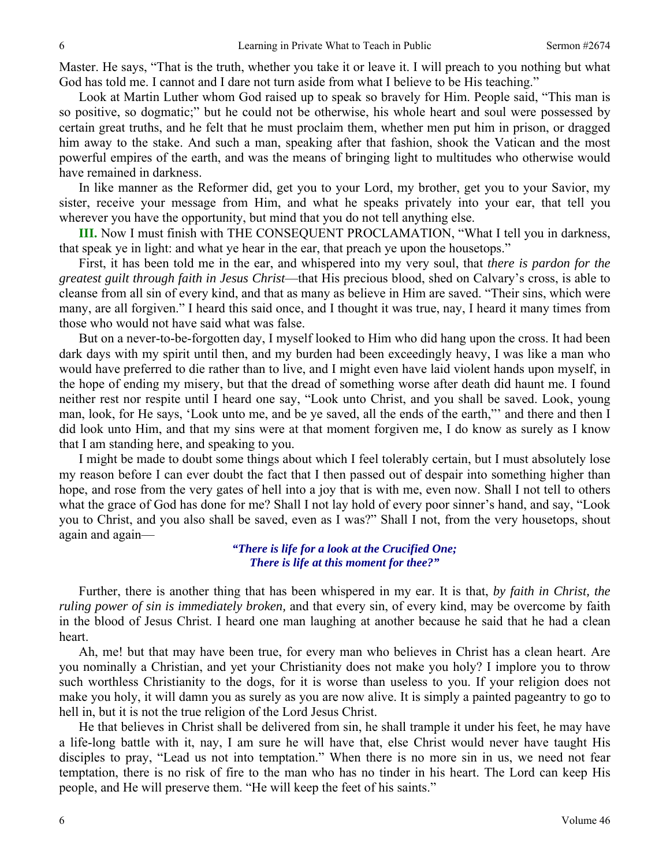Master. He says, "That is the truth, whether you take it or leave it. I will preach to you nothing but what God has told me. I cannot and I dare not turn aside from what I believe to be His teaching."

Look at Martin Luther whom God raised up to speak so bravely for Him. People said, "This man is so positive, so dogmatic;" but he could not be otherwise, his whole heart and soul were possessed by certain great truths, and he felt that he must proclaim them, whether men put him in prison, or dragged him away to the stake. And such a man, speaking after that fashion, shook the Vatican and the most powerful empires of the earth, and was the means of bringing light to multitudes who otherwise would have remained in darkness.

In like manner as the Reformer did, get you to your Lord, my brother, get you to your Savior, my sister, receive your message from Him, and what he speaks privately into your ear, that tell you wherever you have the opportunity, but mind that you do not tell anything else.

**III.** Now I must finish with THE CONSEQUENT PROCLAMATION, "What I tell you in darkness, that speak ye in light: and what ye hear in the ear, that preach ye upon the housetops."

First, it has been told me in the ear, and whispered into my very soul, that *there is pardon for the greatest guilt through faith in Jesus Christ*—that His precious blood, shed on Calvary's cross, is able to cleanse from all sin of every kind, and that as many as believe in Him are saved. "Their sins, which were many, are all forgiven." I heard this said once, and I thought it was true, nay, I heard it many times from those who would not have said what was false.

But on a never-to-be-forgotten day, I myself looked to Him who did hang upon the cross. It had been dark days with my spirit until then, and my burden had been exceedingly heavy, I was like a man who would have preferred to die rather than to live, and I might even have laid violent hands upon myself, in the hope of ending my misery, but that the dread of something worse after death did haunt me. I found neither rest nor respite until I heard one say, "Look unto Christ, and you shall be saved. Look, young man, look, for He says, 'Look unto me, and be ye saved, all the ends of the earth,"' and there and then I did look unto Him, and that my sins were at that moment forgiven me, I do know as surely as I know that I am standing here, and speaking to you.

I might be made to doubt some things about which I feel tolerably certain, but I must absolutely lose my reason before I can ever doubt the fact that I then passed out of despair into something higher than hope, and rose from the very gates of hell into a joy that is with me, even now. Shall I not tell to others what the grace of God has done for me? Shall I not lay hold of every poor sinner's hand, and say, "Look you to Christ, and you also shall be saved, even as I was?" Shall I not, from the very housetops, shout again and again—

> *"There is life for a look at the Crucified One; There is life at this moment for thee?"*

Further, there is another thing that has been whispered in my ear. It is that, *by faith in Christ, the ruling power of sin is immediately broken,* and that every sin, of every kind, may be overcome by faith in the blood of Jesus Christ. I heard one man laughing at another because he said that he had a clean heart.

Ah, me! but that may have been true, for every man who believes in Christ has a clean heart. Are you nominally a Christian, and yet your Christianity does not make you holy? I implore you to throw such worthless Christianity to the dogs, for it is worse than useless to you. If your religion does not make you holy, it will damn you as surely as you are now alive. It is simply a painted pageantry to go to hell in, but it is not the true religion of the Lord Jesus Christ.

He that believes in Christ shall be delivered from sin, he shall trample it under his feet, he may have a life-long battle with it, nay, I am sure he will have that, else Christ would never have taught His disciples to pray, "Lead us not into temptation." When there is no more sin in us, we need not fear temptation, there is no risk of fire to the man who has no tinder in his heart. The Lord can keep His people, and He will preserve them. "He will keep the feet of his saints."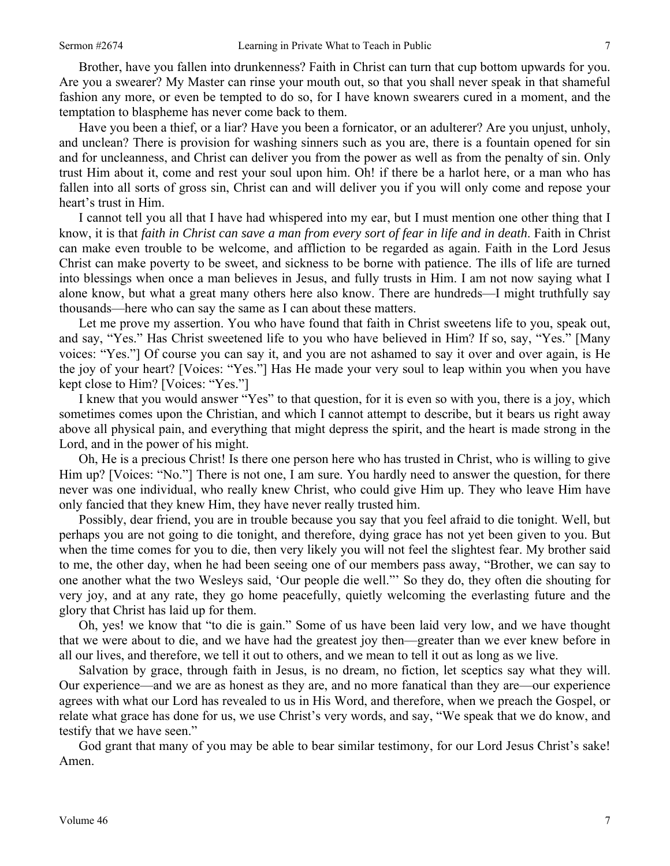Brother, have you fallen into drunkenness? Faith in Christ can turn that cup bottom upwards for you. Are you a swearer? My Master can rinse your mouth out, so that you shall never speak in that shameful fashion any more, or even be tempted to do so, for I have known swearers cured in a moment, and the temptation to blaspheme has never come back to them.

Have you been a thief, or a liar? Have you been a fornicator, or an adulterer? Are you unjust, unholy, and unclean? There is provision for washing sinners such as you are, there is a fountain opened for sin and for uncleanness, and Christ can deliver you from the power as well as from the penalty of sin. Only trust Him about it, come and rest your soul upon him. Oh! if there be a harlot here, or a man who has fallen into all sorts of gross sin, Christ can and will deliver you if you will only come and repose your heart's trust in Him.

I cannot tell you all that I have had whispered into my ear, but I must mention one other thing that I know, it is that *faith in Christ can save a man from every sort of fear in life and in death*. Faith in Christ can make even trouble to be welcome, and affliction to be regarded as again. Faith in the Lord Jesus Christ can make poverty to be sweet, and sickness to be borne with patience. The ills of life are turned into blessings when once a man believes in Jesus, and fully trusts in Him. I am not now saying what I alone know, but what a great many others here also know. There are hundreds—I might truthfully say thousands—here who can say the same as I can about these matters.

Let me prove my assertion. You who have found that faith in Christ sweetens life to you, speak out, and say, "Yes." Has Christ sweetened life to you who have believed in Him? If so, say, "Yes." [Many voices: "Yes."] Of course you can say it, and you are not ashamed to say it over and over again, is He the joy of your heart? [Voices: "Yes."] Has He made your very soul to leap within you when you have kept close to Him? [Voices: "Yes."]

I knew that you would answer "Yes" to that question, for it is even so with you, there is a joy, which sometimes comes upon the Christian, and which I cannot attempt to describe, but it bears us right away above all physical pain, and everything that might depress the spirit, and the heart is made strong in the Lord, and in the power of his might.

Oh, He is a precious Christ! Is there one person here who has trusted in Christ, who is willing to give Him up? [Voices: "No."] There is not one, I am sure. You hardly need to answer the question, for there never was one individual, who really knew Christ, who could give Him up. They who leave Him have only fancied that they knew Him, they have never really trusted him.

Possibly, dear friend, you are in trouble because you say that you feel afraid to die tonight. Well, but perhaps you are not going to die tonight, and therefore, dying grace has not yet been given to you. But when the time comes for you to die, then very likely you will not feel the slightest fear. My brother said to me, the other day, when he had been seeing one of our members pass away, "Brother, we can say to one another what the two Wesleys said, 'Our people die well."' So they do, they often die shouting for very joy, and at any rate, they go home peacefully, quietly welcoming the everlasting future and the glory that Christ has laid up for them.

Oh, yes! we know that "to die is gain." Some of us have been laid very low, and we have thought that we were about to die, and we have had the greatest joy then—greater than we ever knew before in all our lives, and therefore, we tell it out to others, and we mean to tell it out as long as we live.

Salvation by grace, through faith in Jesus, is no dream, no fiction, let sceptics say what they will. Our experience—and we are as honest as they are, and no more fanatical than they are—our experience agrees with what our Lord has revealed to us in His Word, and therefore, when we preach the Gospel, or relate what grace has done for us, we use Christ's very words, and say, "We speak that we do know, and testify that we have seen."

God grant that many of you may be able to bear similar testimony, for our Lord Jesus Christ's sake! Amen.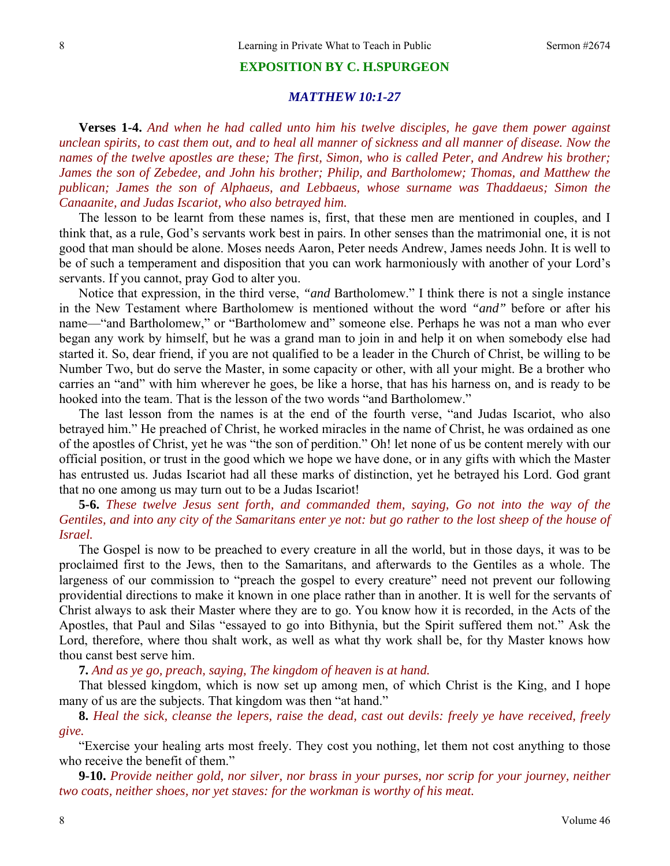#### **EXPOSITION BY C. H.SPURGEON**

#### *MATTHEW 10:1-27*

**Verses 1-4.** *And when he had called unto him his twelve disciples, he gave them power against unclean spirits, to cast them out, and to heal all manner of sickness and all manner of disease. Now the names of the twelve apostles are these; The first, Simon, who is called Peter, and Andrew his brother; James the son of Zebedee, and John his brother; Philip, and Bartholomew; Thomas, and Matthew the publican; James the son of Alphaeus, and Lebbaeus, whose surname was Thaddaeus; Simon the Canaanite, and Judas Iscariot, who also betrayed him.* 

The lesson to be learnt from these names is, first, that these men are mentioned in couples, and I think that, as a rule, God's servants work best in pairs. In other senses than the matrimonial one, it is not good that man should be alone. Moses needs Aaron, Peter needs Andrew, James needs John. It is well to be of such a temperament and disposition that you can work harmoniously with another of your Lord's servants. If you cannot, pray God to alter you.

Notice that expression, in the third verse, *"and* Bartholomew." I think there is not a single instance in the New Testament where Bartholomew is mentioned without the word *"and"* before or after his name—"and Bartholomew," or "Bartholomew and" someone else. Perhaps he was not a man who ever began any work by himself, but he was a grand man to join in and help it on when somebody else had started it. So, dear friend, if you are not qualified to be a leader in the Church of Christ, be willing to be Number Two, but do serve the Master, in some capacity or other, with all your might. Be a brother who carries an "and" with him wherever he goes, be like a horse, that has his harness on, and is ready to be hooked into the team. That is the lesson of the two words "and Bartholomew."

The last lesson from the names is at the end of the fourth verse, "and Judas Iscariot, who also betrayed him." He preached of Christ, he worked miracles in the name of Christ, he was ordained as one of the apostles of Christ, yet he was "the son of perdition." Oh! let none of us be content merely with our official position, or trust in the good which we hope we have done, or in any gifts with which the Master has entrusted us. Judas Iscariot had all these marks of distinction, yet he betrayed his Lord. God grant that no one among us may turn out to be a Judas Iscariot!

### **5-6.** *These twelve Jesus sent forth, and commanded them, saying, Go not into the way of the Gentiles, and into any city of the Samaritans enter ye not: but go rather to the lost sheep of the house of Israel.*

The Gospel is now to be preached to every creature in all the world, but in those days, it was to be proclaimed first to the Jews, then to the Samaritans, and afterwards to the Gentiles as a whole. The largeness of our commission to "preach the gospel to every creature" need not prevent our following providential directions to make it known in one place rather than in another. It is well for the servants of Christ always to ask their Master where they are to go. You know how it is recorded, in the Acts of the Apostles, that Paul and Silas "essayed to go into Bithynia, but the Spirit suffered them not." Ask the Lord, therefore, where thou shalt work, as well as what thy work shall be, for thy Master knows how thou canst best serve him.

**7.** *And as ye go, preach, saying, The kingdom of heaven is at hand.* 

That blessed kingdom, which is now set up among men, of which Christ is the King, and I hope many of us are the subjects. That kingdom was then "at hand."

**8.** *Heal the sick, cleanse the lepers, raise the dead, cast out devils: freely ye have received, freely give.* 

"Exercise your healing arts most freely. They cost you nothing, let them not cost anything to those who receive the benefit of them."

**9-10.** *Provide neither gold, nor silver, nor brass in your purses, nor scrip for your journey, neither two coats, neither shoes, nor yet staves: for the workman is worthy of his meat.*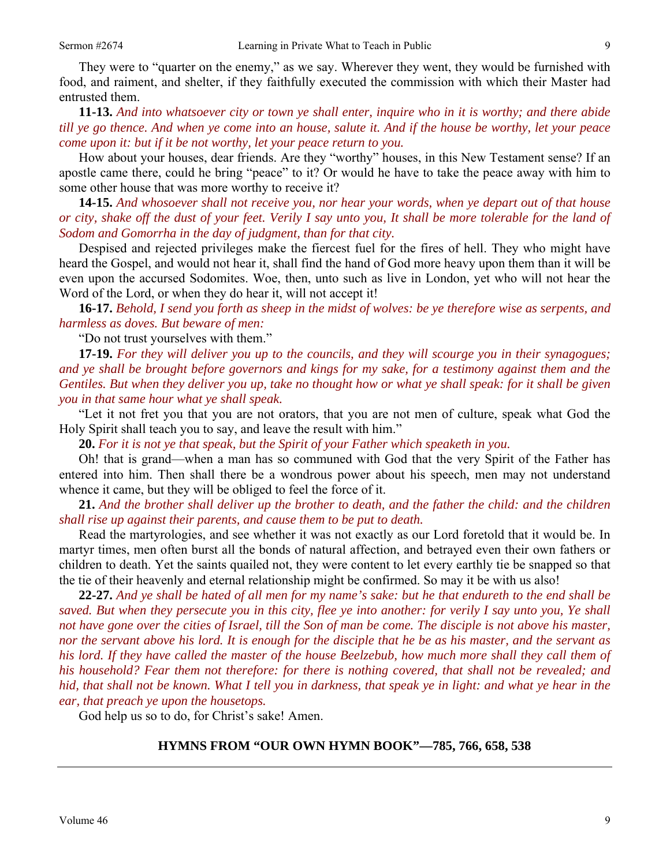food, and raiment, and shelter, if they faithfully executed the commission with which their Master had entrusted them.

**11-13.** *And into whatsoever city or town ye shall enter, inquire who in it is worthy; and there abide till ye go thence. And when ye come into an house, salute it. And if the house be worthy, let your peace come upon it: but if it be not worthy, let your peace return to you.* 

How about your houses, dear friends. Are they "worthy" houses, in this New Testament sense? If an apostle came there, could he bring "peace" to it? Or would he have to take the peace away with him to some other house that was more worthy to receive it?

**14-15.** *And whosoever shall not receive you, nor hear your words, when ye depart out of that house or city, shake off the dust of your feet. Verily I say unto you, It shall be more tolerable for the land of Sodom and Gomorrha in the day of judgment, than for that city.* 

Despised and rejected privileges make the fiercest fuel for the fires of hell. They who might have heard the Gospel, and would not hear it, shall find the hand of God more heavy upon them than it will be even upon the accursed Sodomites. Woe, then, unto such as live in London, yet who will not hear the Word of the Lord, or when they do hear it, will not accept it!

**16-17.** *Behold, I send you forth as sheep in the midst of wolves: be ye therefore wise as serpents, and harmless as doves. But beware of men:* 

"Do not trust yourselves with them."

**17-19.** *For they will deliver you up to the councils, and they will scourge you in their synagogues; and ye shall be brought before governors and kings for my sake, for a testimony against them and the Gentiles. But when they deliver you up, take no thought how or what ye shall speak: for it shall be given you in that same hour what ye shall speak.* 

"Let it not fret you that you are not orators, that you are not men of culture, speak what God the Holy Spirit shall teach you to say, and leave the result with him."

**20.** *For it is not ye that speak, but the Spirit of your Father which speaketh in you.* 

Oh! that is grand—when a man has so communed with God that the very Spirit of the Father has entered into him. Then shall there be a wondrous power about his speech, men may not understand whence it came, but they will be obliged to feel the force of it.

**21.** *And the brother shall deliver up the brother to death, and the father the child: and the children shall rise up against their parents, and cause them to be put to death.* 

Read the martyrologies, and see whether it was not exactly as our Lord foretold that it would be. In martyr times, men often burst all the bonds of natural affection, and betrayed even their own fathers or children to death. Yet the saints quailed not, they were content to let every earthly tie be snapped so that the tie of their heavenly and eternal relationship might be confirmed. So may it be with us also!

**22-27.** *And ye shall be hated of all men for my name's sake: but he that endureth to the end shall be saved. But when they persecute you in this city, flee ye into another: for verily I say unto you, Ye shall not have gone over the cities of Israel, till the Son of man be come. The disciple is not above his master, nor the servant above his lord. It is enough for the disciple that he be as his master, and the servant as his lord. If they have called the master of the house Beelzebub, how much more shall they call them of his household? Fear them not therefore: for there is nothing covered, that shall not be revealed; and hid, that shall not be known. What I tell you in darkness, that speak ye in light: and what ye hear in the ear, that preach ye upon the housetops.* 

God help us so to do, for Christ's sake! Amen.

## **HYMNS FROM "OUR OWN HYMN BOOK"—785, 766, 658, 538**